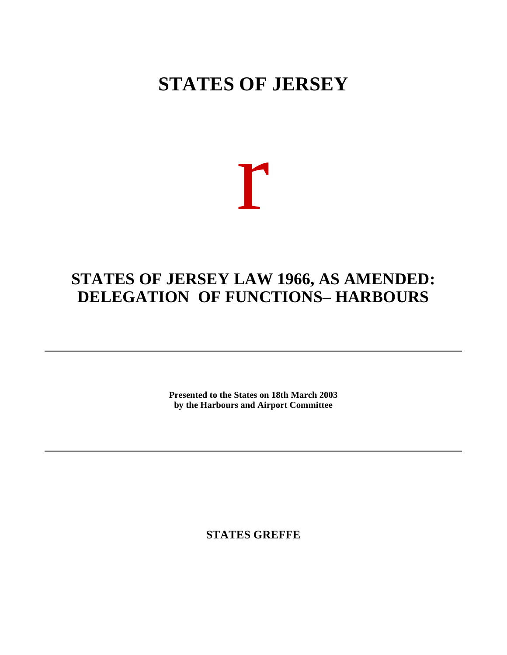## **STATES OF JERSEY**

## r

## **STATES OF JERSEY LAW 1966, AS AMENDED: DELEGATION OF FUNCTIONS– HARBOURS**

**Presented to the States on 18th March 2003 by the Harbours and Airport Committee**

**STATES GREFFE**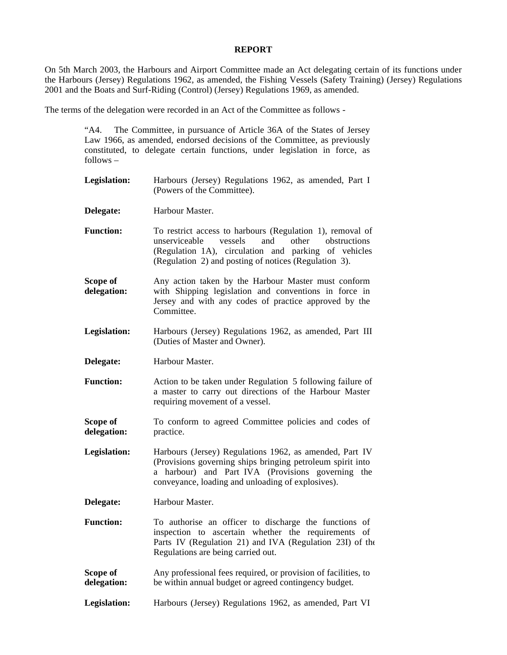## **REPORT**

On 5th March 2003, the Harbours and Airport Committee made an Act delegating certain of its functions under the Harbours (Jersey) Regulations 1962, as amended, the Fishing Vessels (Safety Training) (Jersey) Regulations 2001 and the Boats and Surf-Riding (Control) (Jersey) Regulations 1969, as amended.

The terms of the delegation were recorded in an Act of the Committee as follows -

"A4. The Committee, in pursuance of Article 36A of the States of Jersey Law 1966, as amended, endorsed decisions of the Committee, as previously constituted, to delegate certain functions, under legislation in force, as follows – **Legislation:** Harbours (Jersey) Regulations 1962, as amended, Part I (Powers of the Committee). **Delegate:** Harbour Master. **Function:** To restrict access to harbours (Regulation 1), removal of unserviceable vessels and other obstructions (Regulation 1A), circulation and parking of vehicles (Regulation 2) and posting of notices (Regulation 3). **Scope of delegation:** Any action taken by the Harbour Master must conform with Shipping legislation and conventions in force in Jersey and with any codes of practice approved by the Committee. **Legislation:** Harbours (Jersey) Regulations 1962, as amended, Part III (Duties of Master and Owner). **Delegate:** Harbour Master. **Function:** Action to be taken under Regulation 5 following failure of a master to carry out directions of the Harbour Master requiring movement of a vessel. **Scope of delegation:** To conform to agreed Committee policies and codes of practice. **Legislation:** Harbours (Jersey) Regulations 1962, as amended, Part IV (Provisions governing ships bringing petroleum spirit into a harbour) and Part IVA (Provisions governing the conveyance, loading and unloading of explosives). **Delegate:** Harbour Master. **Function:** To authorise an officer to discharge the functions of inspection to ascertain whether the requirements of Parts IV (Regulation 21) and IVA (Regulation 23I) of the Regulations are being carried out. **Scope of delegation:** Any professional fees required, or provision of facilities, to be within annual budget or agreed contingency budget.

**Legislation:** Harbours (Jersey) Regulations 1962, as amended, Part VI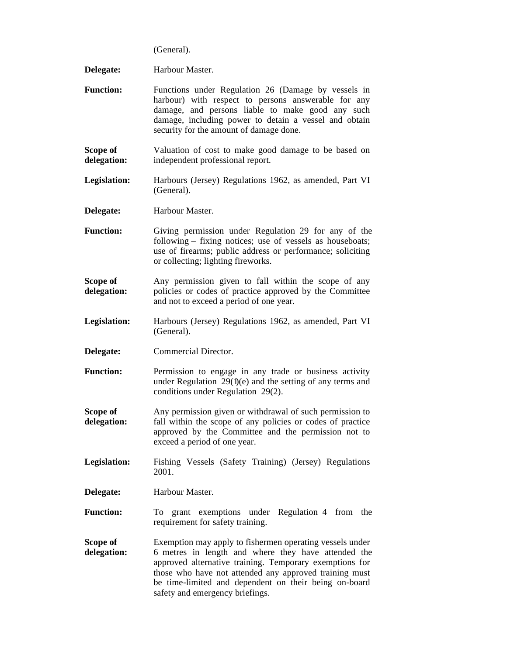(General).

**Delegate:** Harbour Master. **Function:** Functions under Regulation 26 (Damage by vessels in harbour) with respect to persons answerable for any damage, and persons liable to make good any such damage, including power to detain a vessel and obtain security for the amount of damage done. **Scope of delegation:** Valuation of cost to make good damage to be based on independent professional report. **Legislation:** Harbours (Jersey) Regulations 1962, as amended, Part VI (General). **Delegate:** Harbour Master. **Function:** Giving permission under Regulation 29 for any of the following – fixing notices; use of vessels as houseboats; use of firearms; public address or performance; soliciting or collecting; lighting fireworks. **Scope of delegation:** Any permission given to fall within the scope of any policies or codes of practice approved by the Committee and not to exceed a period of one year. **Legislation:** Harbours (Jersey) Regulations 1962, as amended, Part VI (General). **Delegate:** Commercial Director. Function: Permission to engage in any trade or business activity under Regulation 29(1)(e) and the setting of any terms and conditions under Regulation 29(2). **Scope of delegation:** Any permission given or withdrawal of such permission to fall within the scope of any policies or codes of practice approved by the Committee and the permission not to exceed a period of one year. **Legislation:** Fishing Vessels (Safety Training) (Jersey) Regulations 2001. **Delegate:** Harbour Master. **Function:** To grant exemptions under Regulation 4 from the requirement for safety training. **Scope of delegation:** Exemption may apply to fishermen operating vessels under 6 metres in length and where they have attended the approved alternative training. Temporary exemptions for those who have not attended any approved training must be time-limited and dependent on their being on-board safety and emergency briefings.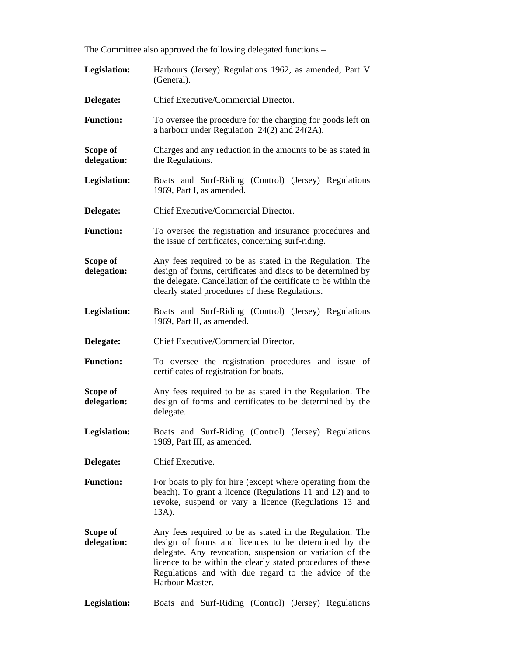The Committee also approved the following delegated functions –

| Legislation:            | Harbours (Jersey) Regulations 1962, as amended, Part V<br>(General).                                                                                                                                                                                                                                                   |
|-------------------------|------------------------------------------------------------------------------------------------------------------------------------------------------------------------------------------------------------------------------------------------------------------------------------------------------------------------|
| Delegate:               | Chief Executive/Commercial Director.                                                                                                                                                                                                                                                                                   |
| <b>Function:</b>        | To oversee the procedure for the charging for goods left on<br>a harbour under Regulation $24(2)$ and $24(2A)$ .                                                                                                                                                                                                       |
| Scope of<br>delegation: | Charges and any reduction in the amounts to be as stated in<br>the Regulations.                                                                                                                                                                                                                                        |
| <b>Legislation:</b>     | Boats and Surf-Riding (Control) (Jersey) Regulations<br>1969, Part I, as amended.                                                                                                                                                                                                                                      |
| Delegate:               | Chief Executive/Commercial Director.                                                                                                                                                                                                                                                                                   |
| <b>Function:</b>        | To oversee the registration and insurance procedures and<br>the issue of certificates, concerning surf-riding.                                                                                                                                                                                                         |
| Scope of<br>delegation: | Any fees required to be as stated in the Regulation. The<br>design of forms, certificates and discs to be determined by<br>the delegate. Cancellation of the certificate to be within the<br>clearly stated procedures of these Regulations.                                                                           |
| Legislation:            | Boats and Surf-Riding (Control) (Jersey) Regulations<br>1969, Part II, as amended.                                                                                                                                                                                                                                     |
| Delegate:               | Chief Executive/Commercial Director.                                                                                                                                                                                                                                                                                   |
| <b>Function:</b>        | To oversee the registration procedures and issue of<br>certificates of registration for boats.                                                                                                                                                                                                                         |
| Scope of<br>delegation: | Any fees required to be as stated in the Regulation. The<br>design of forms and certificates to be determined by the<br>delegate.                                                                                                                                                                                      |
| <b>Legislation:</b>     | Boats and Surf-Riding<br>(Control)<br>(Jersey) Regulations<br>1969, Part III, as amended.                                                                                                                                                                                                                              |
| Delegate:               | Chief Executive.                                                                                                                                                                                                                                                                                                       |
| <b>Function:</b>        | For boats to ply for hire (except where operating from the<br>beach). To grant a licence (Regulations 11 and 12) and to<br>revoke, suspend or vary a licence (Regulations 13 and<br>13A).                                                                                                                              |
| Scope of<br>delegation: | Any fees required to be as stated in the Regulation. The<br>design of forms and licences to be determined by the<br>delegate. Any revocation, suspension or variation of the<br>licence to be within the clearly stated procedures of these<br>Regulations and with due regard to the advice of the<br>Harbour Master. |
| Legislation:            | Boats and Surf-Riding (Control) (Jersey) Regulations                                                                                                                                                                                                                                                                   |